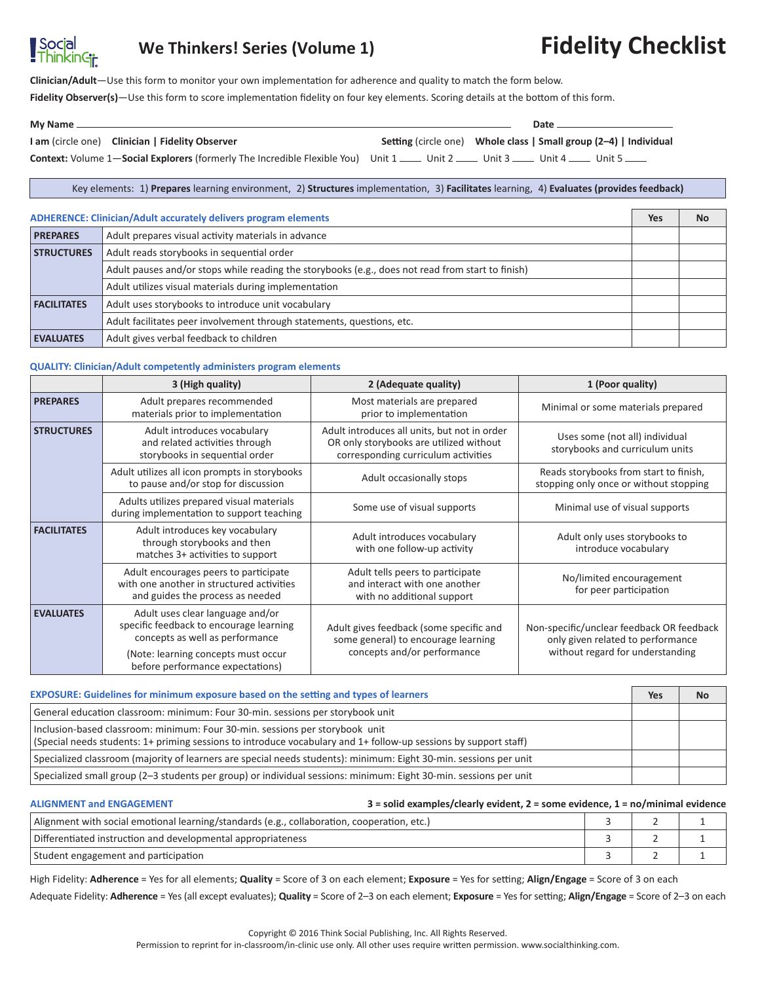# Social<br>ThinkinGir

# **We Thinkers! Series (Volume 1) Fidelity Checklist**

**Clinician/Adult**—Use this form to monitor your own implementation for adherence and quality to match the form below.

**Fidelity Observer(s)**—Use this form to score implementation fidelity on four key elements. Scoring details at the bottom of this form.

| My Name __ |                                                                                                                                       | Date                                                                     |  |  |  |
|------------|---------------------------------------------------------------------------------------------------------------------------------------|--------------------------------------------------------------------------|--|--|--|
|            | I am (circle one) Clinician   Fidelity Observer                                                                                       | <b>Setting (circle one)</b> Whole class   Small group (2–4)   Individual |  |  |  |
|            | Context: Volume 1—Social Explorers (formerly The Incredible Flexible You) Unit 1 ____ Unit 2 ____ Unit 3 ____ Unit 4 ____ Unit 5 ____ |                                                                          |  |  |  |

Key elements: 1) **Prepares** learning environment, 2) **Structures** implementation, 3) **Facilitates** learning, 4) **Evaluates (provides feedback)**

### **ADHERENCE: Clinician/Adult accurately delivers program elements Yes No**

| <b>PREPARES</b>    | Adult prepares visual activity materials in advance                                               |  |  |  |
|--------------------|---------------------------------------------------------------------------------------------------|--|--|--|
| <b>STRUCTURES</b>  | Adult reads storybooks in sequential order                                                        |  |  |  |
|                    | Adult pauses and/or stops while reading the storybooks (e.g., does not read from start to finish) |  |  |  |
|                    | Adult utilizes visual materials during implementation                                             |  |  |  |
| <b>FACILITATES</b> | Adult uses storybooks to introduce unit vocabulary                                                |  |  |  |
|                    | Adult facilitates peer involvement through statements, questions, etc.                            |  |  |  |
| <b>EVALUATES</b>   | Adult gives verbal feedback to children                                                           |  |  |  |

### **QUALITY: Clinician/Adult competently administers program elements**

|                    | 3 (High quality)                                                                                                       | 2 (Adequate quality)                                                                                                           | 1 (Poor quality)                                                                 |
|--------------------|------------------------------------------------------------------------------------------------------------------------|--------------------------------------------------------------------------------------------------------------------------------|----------------------------------------------------------------------------------|
| <b>PREPARES</b>    | Adult prepares recommended<br>materials prior to implementation                                                        | Most materials are prepared<br>prior to implementation                                                                         | Minimal or some materials prepared                                               |
| <b>STRUCTURES</b>  | Adult introduces vocabulary<br>and related activities through<br>storybooks in sequential order                        | Adult introduces all units, but not in order<br>OR only storybooks are utilized without<br>corresponding curriculum activities | Uses some (not all) individual<br>storybooks and curriculum units                |
|                    | Adult utilizes all icon prompts in storybooks<br>to pause and/or stop for discussion                                   | Adult occasionally stops                                                                                                       | Reads storybooks from start to finish,<br>stopping only once or without stopping |
|                    | Adults utilizes prepared visual materials<br>during implementation to support teaching                                 | Some use of visual supports                                                                                                    | Minimal use of visual supports                                                   |
| <b>FACILITATES</b> | Adult introduces key vocabulary<br>through storybooks and then<br>matches 3+ activities to support                     | Adult introduces vocabulary<br>with one follow-up activity                                                                     | Adult only uses storybooks to<br>introduce vocabulary                            |
|                    | Adult encourages peers to participate<br>with one another in structured activities<br>and guides the process as needed | Adult tells peers to participate<br>and interact with one another<br>with no additional support                                | No/limited encouragement<br>for peer participation                               |
| <b>EVALUATES</b>   | Adult uses clear language and/or<br>specific feedback to encourage learning<br>concepts as well as performance         | Adult gives feedback (some specific and<br>some general) to encourage learning                                                 | Non-specific/unclear feedback OR feedback<br>only given related to performance   |
|                    | (Note: learning concepts must occur<br>before performance expectations)                                                | concepts and/or performance                                                                                                    | without regard for understanding                                                 |

| <b>EXPOSURE:</b> Guidelines for minimum exposure based on the setting and types of learners                                                                                                      |  |  |
|--------------------------------------------------------------------------------------------------------------------------------------------------------------------------------------------------|--|--|
| General education classroom: minimum: Four 30-min. sessions per storybook unit                                                                                                                   |  |  |
| Inclusion-based classroom: minimum: Four 30-min. sessions per storybook unit<br>(Special needs students: 1+ priming sessions to introduce vocabulary and 1+ follow-up sessions by support staff) |  |  |
| Specialized classroom (majority of learners are special needs students): minimum: Eight 30-min. sessions per unit                                                                                |  |  |
| Specialized small group (2-3 students per group) or individual sessions: minimum: Eight 30-min. sessions per unit                                                                                |  |  |

#### **ALIGNMENT and ENGAGEMENT 3 = solid examples/clearly evident, 2 = some evidence, 1 = no/minimal evidence**

| Alignment with social emotional learning/standards (e.g., collaboration, cooperation, etc.) |  |  |
|---------------------------------------------------------------------------------------------|--|--|
| Differentiated instruction and developmental appropriateness                                |  |  |
| Student engagement and participation                                                        |  |  |

High Fidelity: **Adherence** = Yes for all elements; **Quality** = Score of 3 on each element; **Exposure** = Yes for setting; **Align/Engage** = Score of 3 on each Adequate Fidelity: **Adherence** = Yes (all except evaluates); **Quality** = Score of 2–3 on each element; **Exposure** = Yes for setting; **Align/Engage** = Score of 2–3 on each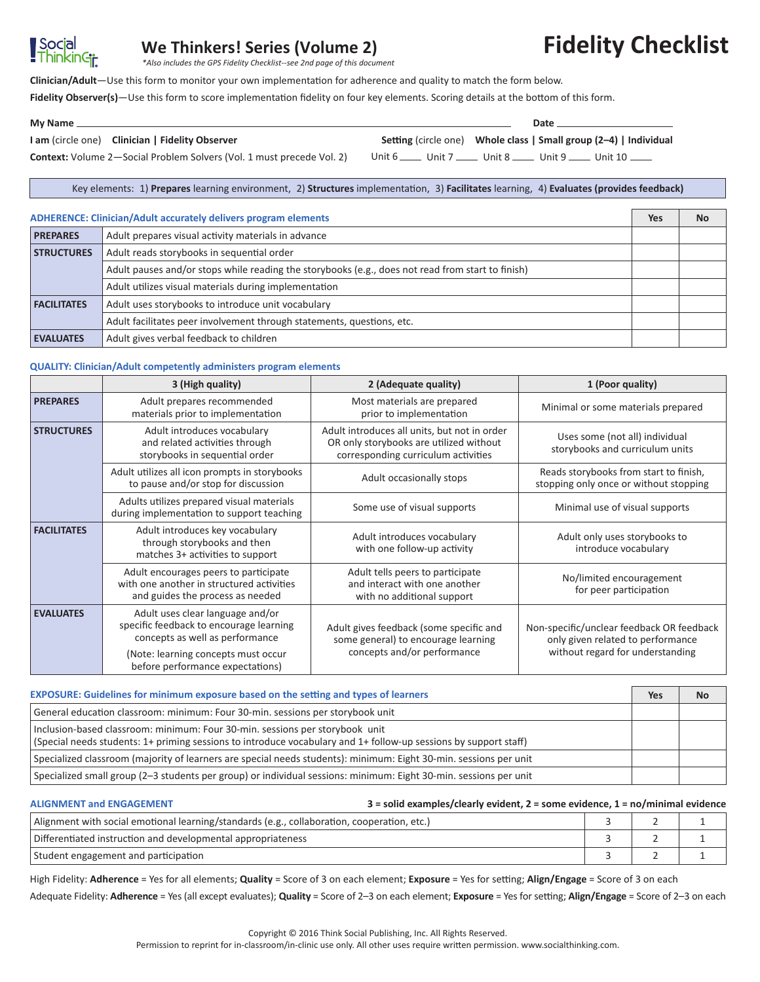## **We Thinkers! Series (Volume 2)**

*\*Also includes the GPS Fidelity Checklist--see 2nd page of this document*

**Clinician/Adult**—Use this form to monitor your own implementation for adherence and quality to match the form below.

**Fidelity Observer(s)**—Use this form to score implementation fidelity on four key elements. Scoring details at the bottom of this form.

| My Name $\equiv$                                                             | Date |                                                                          |  |  |
|------------------------------------------------------------------------------|------|--------------------------------------------------------------------------|--|--|
| I am (circle one) Clinician   Fidelity Observer                              |      | <b>Setting (circle one)</b> Whole class   Small group (2-4)   Individual |  |  |
| <b>Context:</b> Volume 2-Social Problem Solvers (Vol. 1 must precede Vol. 2) |      | Unit 6 _____ Unit 7 _____ Unit 8 _____ Unit 9 _____ Unit 10 _____        |  |  |

Key elements: 1) **Prepares** learning environment, 2) **Structures** implementation, 3) **Facilitates** learning, 4) **Evaluates (provides feedback)**

### **ADHERENCE: Clinician/Adult accurately delivers program elements Yes No**

**Social**<br>ThinkinGj<del>,</del>

| <b>PREPARES</b>    | Adult prepares visual activity materials in advance                                               |  |
|--------------------|---------------------------------------------------------------------------------------------------|--|
| <b>STRUCTURES</b>  | Adult reads storybooks in sequential order                                                        |  |
|                    | Adult pauses and/or stops while reading the storybooks (e.g., does not read from start to finish) |  |
|                    | Adult utilizes visual materials during implementation                                             |  |
| <b>FACILITATES</b> | Adult uses storybooks to introduce unit vocabulary                                                |  |
|                    | Adult facilitates peer involvement through statements, questions, etc.                            |  |
| <b>EVALUATES</b>   | Adult gives verbal feedback to children                                                           |  |

#### **QUALITY: Clinician/Adult competently administers program elements**

|                    | 3 (High quality)                                                                                                       | 2 (Adequate quality)                                                                                                           | 1 (Poor quality)                                                                 |
|--------------------|------------------------------------------------------------------------------------------------------------------------|--------------------------------------------------------------------------------------------------------------------------------|----------------------------------------------------------------------------------|
| <b>PREPARES</b>    | Adult prepares recommended<br>materials prior to implementation                                                        | Most materials are prepared<br>prior to implementation                                                                         | Minimal or some materials prepared                                               |
| <b>STRUCTURES</b>  | Adult introduces vocabulary<br>and related activities through<br>storybooks in sequential order                        | Adult introduces all units, but not in order<br>OR only storybooks are utilized without<br>corresponding curriculum activities | Uses some (not all) individual<br>storybooks and curriculum units                |
|                    | Adult utilizes all icon prompts in storybooks<br>to pause and/or stop for discussion                                   | Adult occasionally stops                                                                                                       | Reads storybooks from start to finish,<br>stopping only once or without stopping |
|                    | Adults utilizes prepared visual materials<br>during implementation to support teaching                                 | Some use of visual supports                                                                                                    | Minimal use of visual supports                                                   |
| <b>FACILITATES</b> | Adult introduces key vocabulary<br>through storybooks and then<br>matches 3+ activities to support                     | Adult introduces vocabulary<br>with one follow-up activity                                                                     | Adult only uses storybooks to<br>introduce vocabulary                            |
|                    | Adult encourages peers to participate<br>with one another in structured activities<br>and guides the process as needed | Adult tells peers to participate<br>and interact with one another<br>with no additional support                                | No/limited encouragement<br>for peer participation                               |
| <b>EVALUATES</b>   | Adult uses clear language and/or<br>specific feedback to encourage learning<br>concepts as well as performance         | Adult gives feedback (some specific and<br>some general) to encourage learning                                                 | Non-specific/unclear feedback OR feedback<br>only given related to performance   |
|                    | (Note: learning concepts must occur<br>before performance expectations)                                                | concepts and/or performance                                                                                                    | without regard for understanding                                                 |

| <b>EXPOSURE:</b> Guidelines for minimum exposure based on the setting and types of learners                                                                                                      | Yes | <b>No</b> |
|--------------------------------------------------------------------------------------------------------------------------------------------------------------------------------------------------|-----|-----------|
| General education classroom: minimum: Four 30-min. sessions per storybook unit                                                                                                                   |     |           |
| Inclusion-based classroom: minimum: Four 30-min. sessions per storybook unit<br>(Special needs students: 1+ priming sessions to introduce vocabulary and 1+ follow-up sessions by support staff) |     |           |
| Specialized classroom (majority of learners are special needs students): minimum: Eight 30-min. sessions per unit                                                                                |     |           |
| Specialized small group (2-3 students per group) or individual sessions: minimum: Eight 30-min. sessions per unit                                                                                |     |           |

#### **ALIGNMENT and ENGAGEMENT 3 = solid examples/clearly evident, 2 = some evidence, 1 = no/minimal evidence**

| Alignment with social emotional learning/standards (e.g., collaboration, cooperation, etc.) |  |  |  |
|---------------------------------------------------------------------------------------------|--|--|--|
| Differentiated instruction and developmental appropriateness                                |  |  |  |
| Student engagement and participation                                                        |  |  |  |

High Fidelity: **Adherence** = Yes for all elements; **Quality** = Score of 3 on each element; **Exposure** = Yes for setting; **Align/Engage** = Score of 3 on each Adequate Fidelity: **Adherence** = Yes (all except evaluates); **Quality** = Score of 2–3 on each element; **Exposure** = Yes for setting; **Align/Engage** = Score of 2–3 on each

# **Fidelity Checklist**